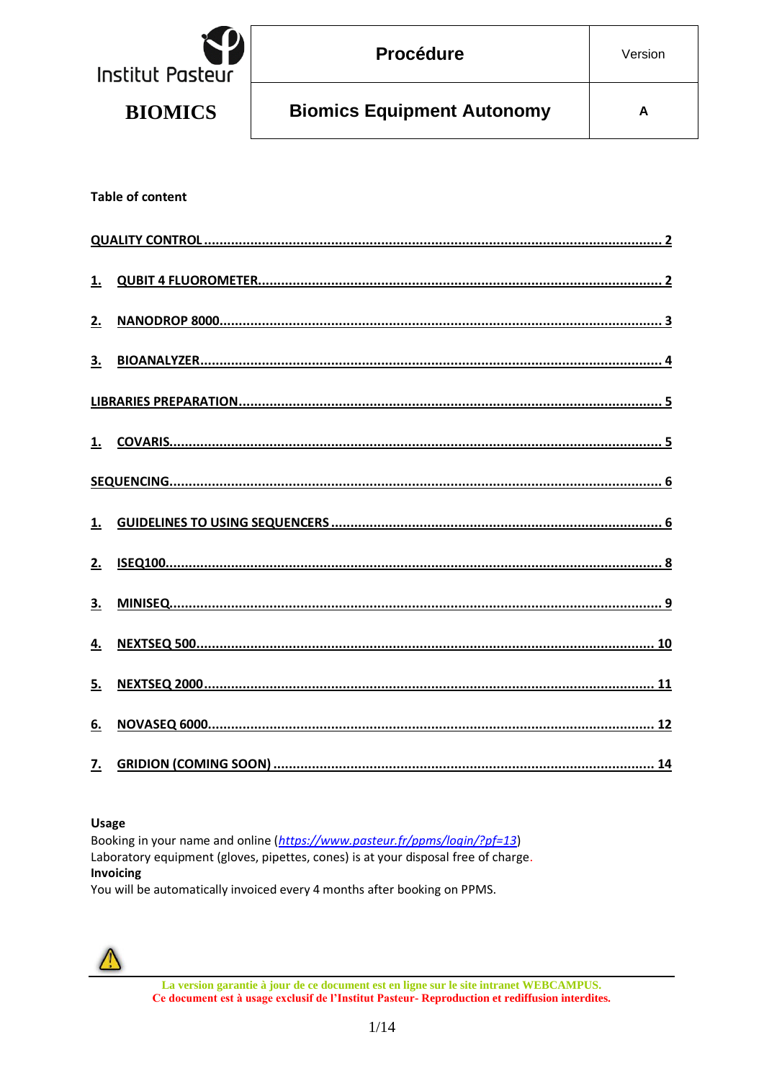| Institut Pasteur | <b>Procédure</b>                  | Version |
|------------------|-----------------------------------|---------|
| <b>BIOMICS</b>   | <b>Biomics Equipment Autonomy</b> | А       |

#### **Table of content**

| 2. |  |
|----|--|
|    |  |
|    |  |
|    |  |
|    |  |
|    |  |
|    |  |
|    |  |
|    |  |
|    |  |
| 6. |  |
|    |  |

#### **Usage**

Booking in your name and online (https://www.pasteur.fr/ppms/login/?pf=13) Laboratory equipment (gloves, pipettes, cones) is at your disposal free of charge. Invoicing

You will be automatically invoiced every 4 months after booking on PPMS.



La version garantie à jour de ce document est en ligne sur le site intranet WEBCAMPUS. Ce document est à usage exclusif de l'Institut Pasteur- Reproduction et rediffusion interdites.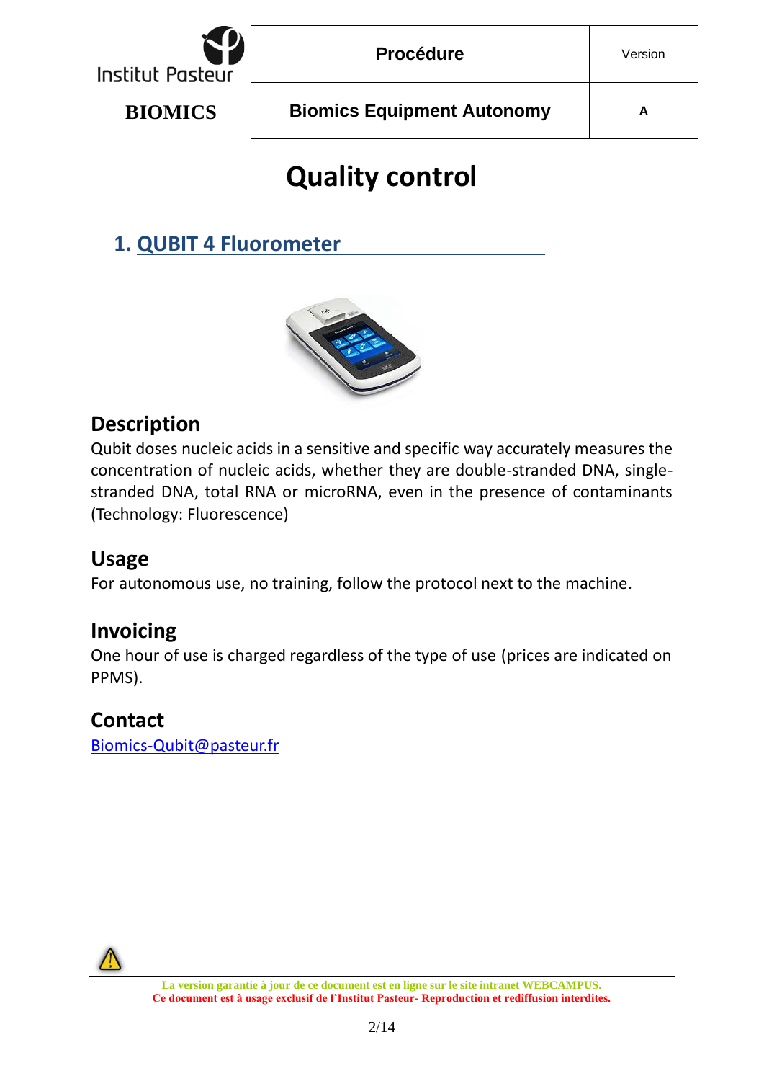

# **Quality control**

<span id="page-1-1"></span><span id="page-1-0"></span>**1. QUBIT 4 Fluorometer**



#### **Description**

Qubit doses nucleic acids in a sensitive and specific way accurately measures the concentration of nucleic acids, whether they are double-stranded DNA, singlestranded DNA, total RNA or microRNA, even in the presence of contaminants (Technology: Fluorescence)

#### **Usage**

For autonomous use, no training, follow the protocol next to the machine.

#### **Invoicing**

One hour of use is charged regardless of the type of use (prices are indicated on PPMS).

#### **Contact**

[Biomics-Qubit@pasteur.fr](mailto:Biomics-Qubit@pasteur.fr)

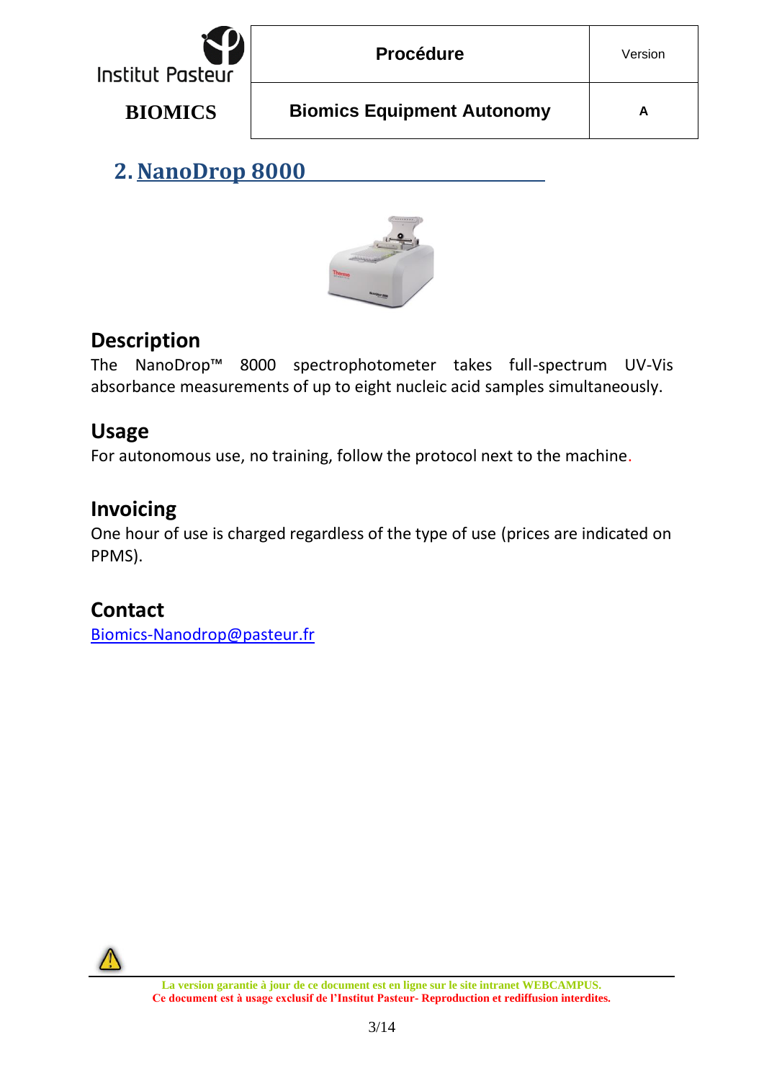| <b>Institut Pasteur</b> | <b>Procédure</b>                  | Version |
|-------------------------|-----------------------------------|---------|
| <b>BIOMICS</b>          | <b>Biomics Equipment Autonomy</b> | A       |

<span id="page-2-0"></span>**2. NanoDrop 8000**



#### **Description**

The NanoDrop™ 8000 spectrophotometer takes full-spectrum UV-Vis absorbance measurements of up to eight nucleic acid samples simultaneously.

#### **Usage**

For autonomous use, no training, follow the protocol next to the machine.

#### **Invoicing**

One hour of use is charged regardless of the type of use (prices are indicated on PPMS).

## **Contact**

[Biomics-Nanodrop@pasteur.fr](mailto:Biomics-Nanodrop@pasteur.fr)

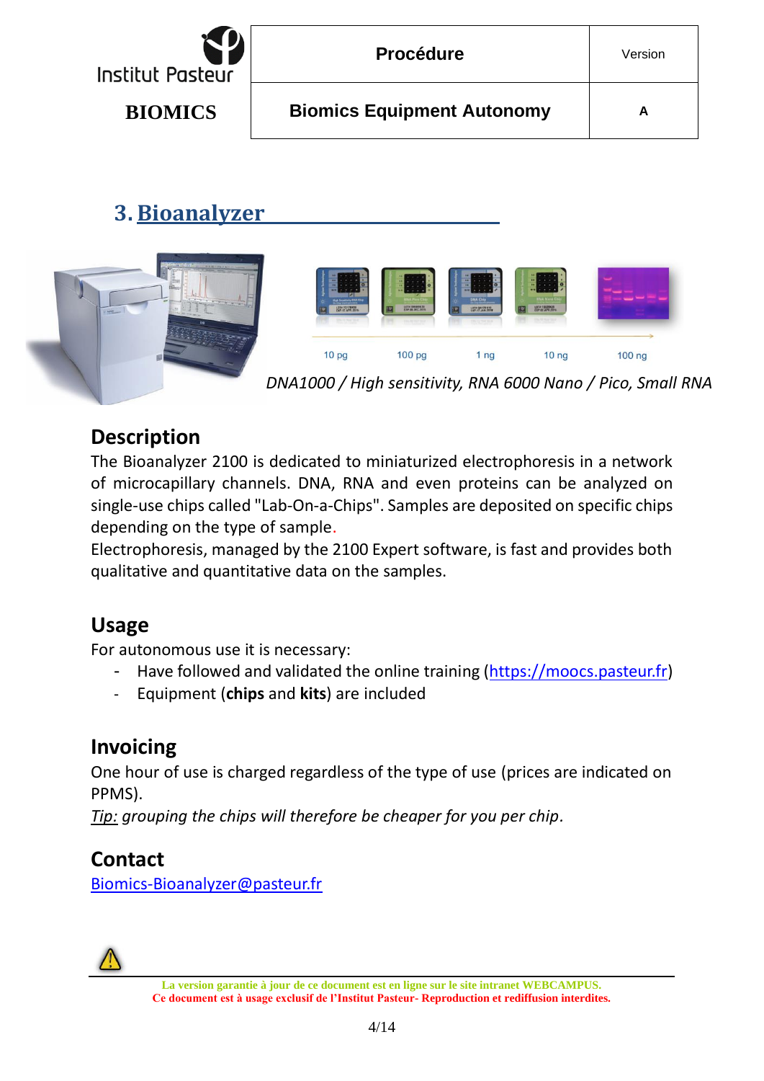

## <span id="page-3-0"></span>**3. Bioanalyzer**



#### **Description**

The Bioanalyzer 2100 is dedicated to miniaturized electrophoresis in a network of microcapillary channels. DNA, RNA and even proteins can be analyzed on single-use chips called "Lab-On-a-Chips". Samples are deposited on specific chips depending on the type of sample.

Electrophoresis, managed by the 2100 Expert software, is fast and provides both qualitative and quantitative data on the samples.

#### **Usage**

For autonomous use it is necessary:

- Have followed and validated the online training [\(https://moocs.pasteur.fr\)](https://moocs.pasteur.fr/)
- Equipment (**chips** and **kits**) are included

## **Invoicing**

One hour of use is charged regardless of the type of use (prices are indicated on PPMS).

*Tip: grouping the chips will therefore be cheaper for you per chip.*

#### **Contact**

[Biomics-Bioanalyzer@pasteur.fr](mailto:Biomics-Bioanalyzer@pasteur.fr)

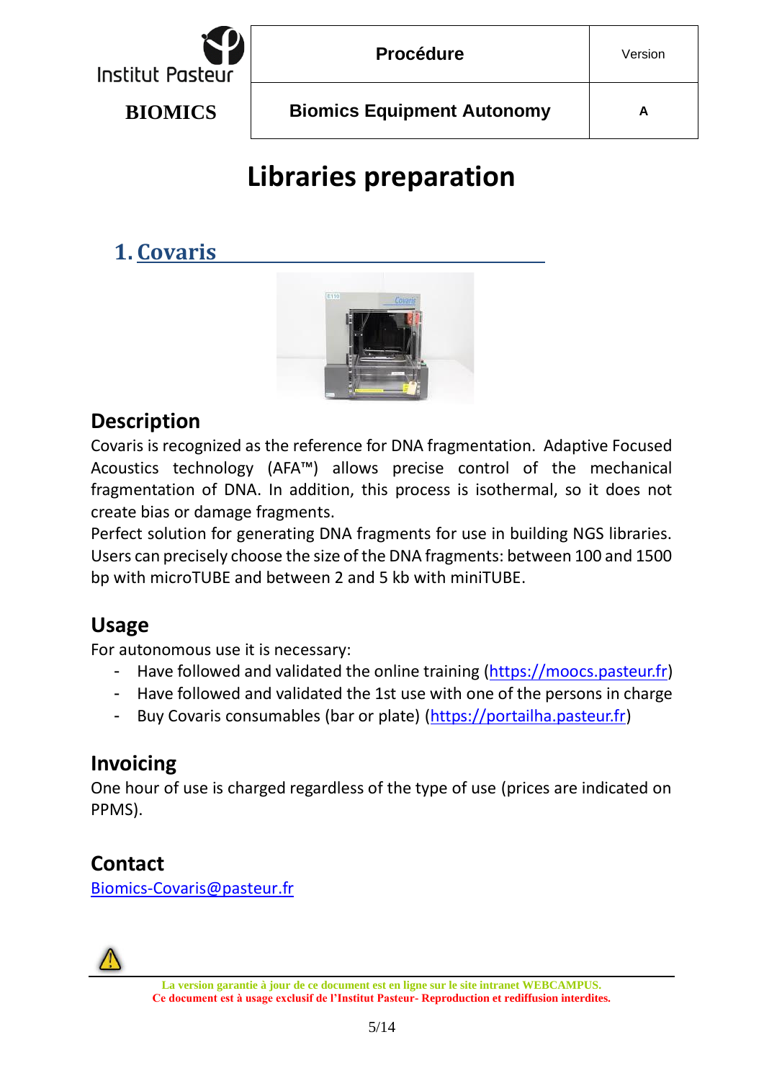

# **Libraries preparation**

## <span id="page-4-1"></span><span id="page-4-0"></span>**1. Covaris**



#### **Description**

Covaris is recognized as the reference for DNA fragmentation. Adaptive Focused Acoustics technology (AFA™) allows precise control of the mechanical fragmentation of DNA. In addition, this process is isothermal, so it does not create bias or damage fragments.

Perfect solution for generating DNA fragments for use in building NGS libraries. Users can precisely choose the size of the DNA fragments: between 100 and 1500 bp with microTUBE and between 2 and 5 kb with miniTUBE.

#### **Usage**

For autonomous use it is necessary:

- Have followed and validated the online training [\(https://moocs.pasteur.fr\)](https://moocs.pasteur.fr/)
- Have followed and validated the 1st use with one of the persons in charge
- Buy Covaris consumables (bar or plate) [\(https://portailha.pasteur.fr\)](https://portailha.pasteur.fr/)

#### **Invoicing**

One hour of use is charged regardless of the type of use (prices are indicated on PPMS).

## **Contact**

[Biomics-Covaris@pasteur.fr](mailto:Biomics-Covaris@pasteur.fr)

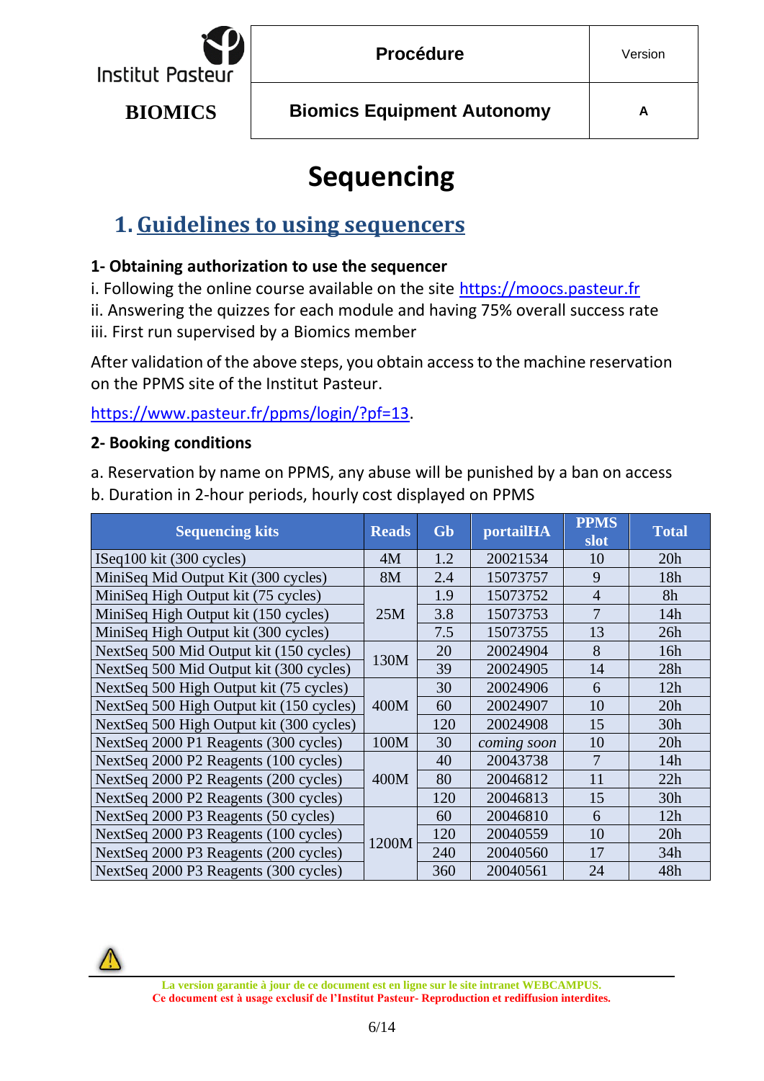

## **Sequencing**

## <span id="page-5-1"></span><span id="page-5-0"></span>**1. Guidelines to using sequencers**

#### **1- Obtaining authorization to use the sequencer**

i. Following the online course available on the site [https://moocs.pasteur.fr](https://moocs.pasteur.fr/)

ii. Answering the quizzes for each module and having 75% overall success rate iii. First run supervised by a Biomics member

After validation of the above steps, you obtain access to the machine reservation on the PPMS site of the Institut Pasteur.

[https://www.pasteur.fr/ppms/login/?pf=13.](https://www.pasteur.fr/ppms/login/?pf=13)

#### **2- Booking conditions**

a. Reservation by name on PPMS, any abuse will be punished by a ban on access b. Duration in 2-hour periods, hourly cost displayed on PPMS

| <b>Sequencing kits</b>                   | <b>Reads</b> | Gb  | portailHA   | <b>PPMS</b><br>slot | <b>Total</b> |
|------------------------------------------|--------------|-----|-------------|---------------------|--------------|
| ISeq100 kit (300 cycles)                 | 4M           | 1.2 | 20021534    | 10                  | 20h          |
| MiniSeq Mid Output Kit (300 cycles)      | 8M           | 2.4 | 15073757    | 9                   | 18h          |
| MiniSeq High Output kit (75 cycles)      |              | 1.9 | 15073752    | $\overline{4}$      | 8h           |
| MiniSeq High Output kit (150 cycles)     | 25M          | 3.8 | 15073753    | $\overline{7}$      | 14h          |
| MiniSeq High Output kit (300 cycles)     |              | 7.5 | 15073755    | 13                  | 26h          |
| NextSeq 500 Mid Output kit (150 cycles)  | 130M         | 20  | 20024904    | 8                   | 16h          |
| NextSeq 500 Mid Output kit (300 cycles)  |              | 39  | 20024905    | 14                  | 28h          |
| NextSeq 500 High Output kit (75 cycles)  |              | 30  | 20024906    | 6                   | 12h          |
| NextSeq 500 High Output kit (150 cycles) | 400M         | 60  | 20024907    | 10                  | 20h          |
| NextSeq 500 High Output kit (300 cycles) |              | 120 | 20024908    | 15                  | 30h          |
| NextSeq 2000 P1 Reagents (300 cycles)    | 100M         | 30  | coming soon | 10                  | 20h          |
| NextSeq 2000 P2 Reagents (100 cycles)    |              | 40  | 20043738    | 7                   | 14h          |
| NextSeq 2000 P2 Reagents (200 cycles)    | 400M         | 80  | 20046812    | 11                  | 22h          |
| NextSeq 2000 P2 Reagents (300 cycles)    |              | 120 | 20046813    | 15                  | 30h          |
| NextSeq 2000 P3 Reagents (50 cycles)     |              | 60  | 20046810    | 6                   | 12h          |
| NextSeq 2000 P3 Reagents (100 cycles)    |              | 120 | 20040559    | 10                  | 20h          |
| NextSeq 2000 P3 Reagents (200 cycles)    | 1200M        | 240 | 20040560    | 17                  | 34h          |
| NextSeq 2000 P3 Reagents (300 cycles)    |              | 360 | 20040561    | 24                  | 48h          |

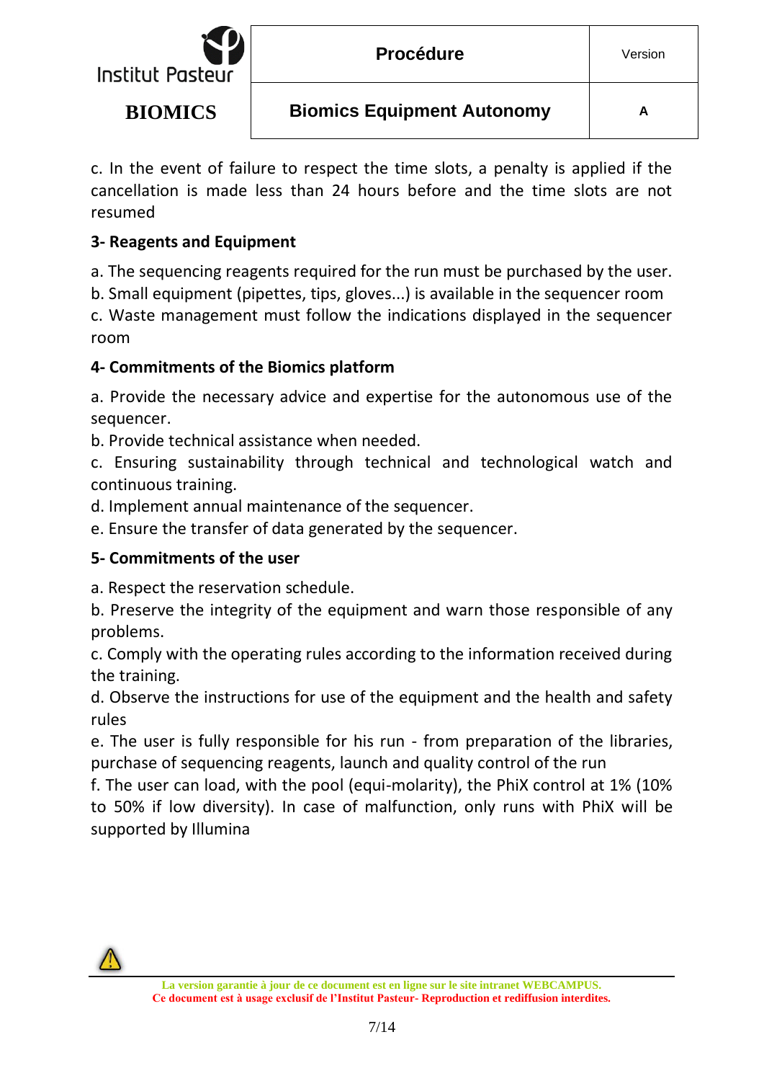

c. In the event of failure to respect the time slots, a penalty is applied if the cancellation is made less than 24 hours before and the time slots are not resumed

#### **3- Reagents and Equipment**

a. The sequencing reagents required for the run must be purchased by the user.

b. Small equipment (pipettes, tips, gloves...) is available in the sequencer room

c. Waste management must follow the indications displayed in the sequencer room

#### **4- Commitments of the Biomics platform**

a. Provide the necessary advice and expertise for the autonomous use of the sequencer.

b. Provide technical assistance when needed.

c. Ensuring sustainability through technical and technological watch and continuous training.

d. Implement annual maintenance of the sequencer.

e. Ensure the transfer of data generated by the sequencer.

#### **5- Commitments of the user**

a. Respect the reservation schedule.

b. Preserve the integrity of the equipment and warn those responsible of any problems.

c. Comply with the operating rules according to the information received during the training.

d. Observe the instructions for use of the equipment and the health and safety rules

e. The user is fully responsible for his run - from preparation of the libraries, purchase of sequencing reagents, launch and quality control of the run

f. The user can load, with the pool (equi-molarity), the PhiX control at 1% (10% to 50% if low diversity). In case of malfunction, only runs with PhiX will be supported by Illumina

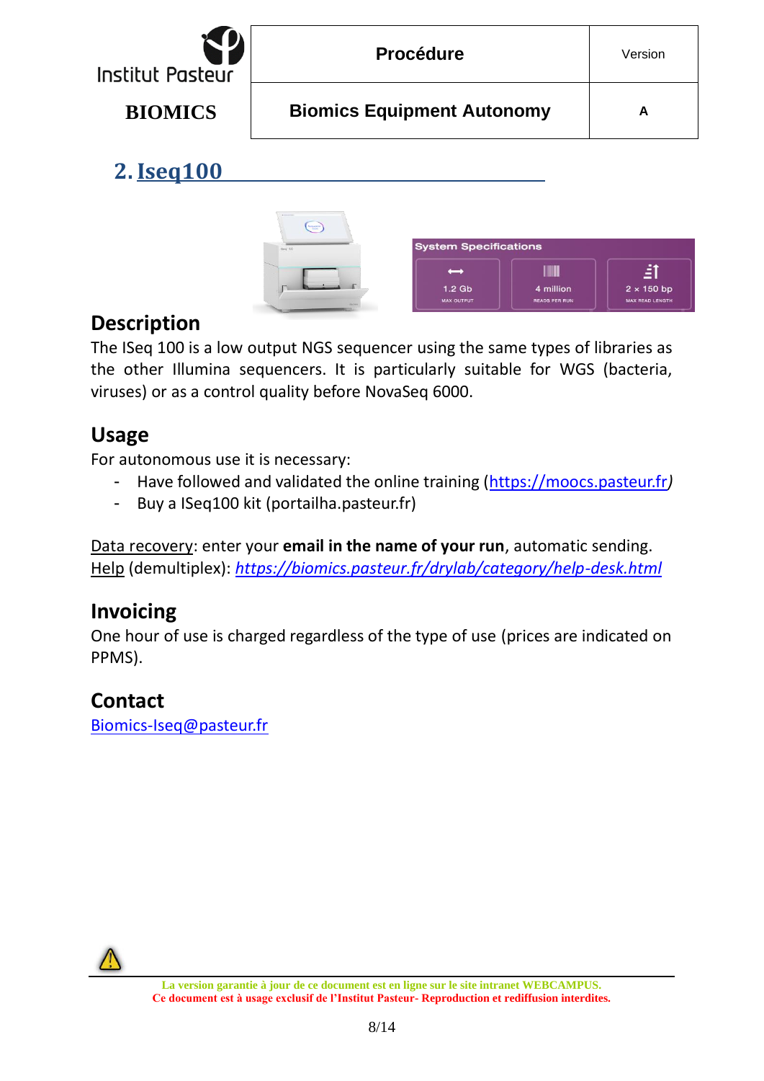

<span id="page-7-0"></span>**2.Iseq100**



## **Description**

The ISeq 100 is a low output NGS sequencer using the same types of libraries as the other Illumina sequencers. It is particularly suitable for WGS (bacteria, viruses) or as a control quality before NovaSeq 6000.

#### **Usage**

For autonomous use it is necessary:

- Have followed and validated the online training [\(https://moocs.pasteur.fr](https://moocs.pasteur.fr/)*)*
- Buy a ISeq100 kit (portailha.pasteur.fr)

Data recovery: enter your **email in the name of your run**, automatic sending. Help (demultiplex): *<https://biomics.pasteur.fr/drylab/category/help-desk.html>*

#### **Invoicing**

One hour of use is charged regardless of the type of use (prices are indicated on PPMS).

#### **Contact**

[Biomics-Iseq@pasteur.fr](/Users/vbriolat/Desktop/Support%202022/Attribution_Valerie-Briolat/Autonomy/biomics-iseq@pasteur.fr)

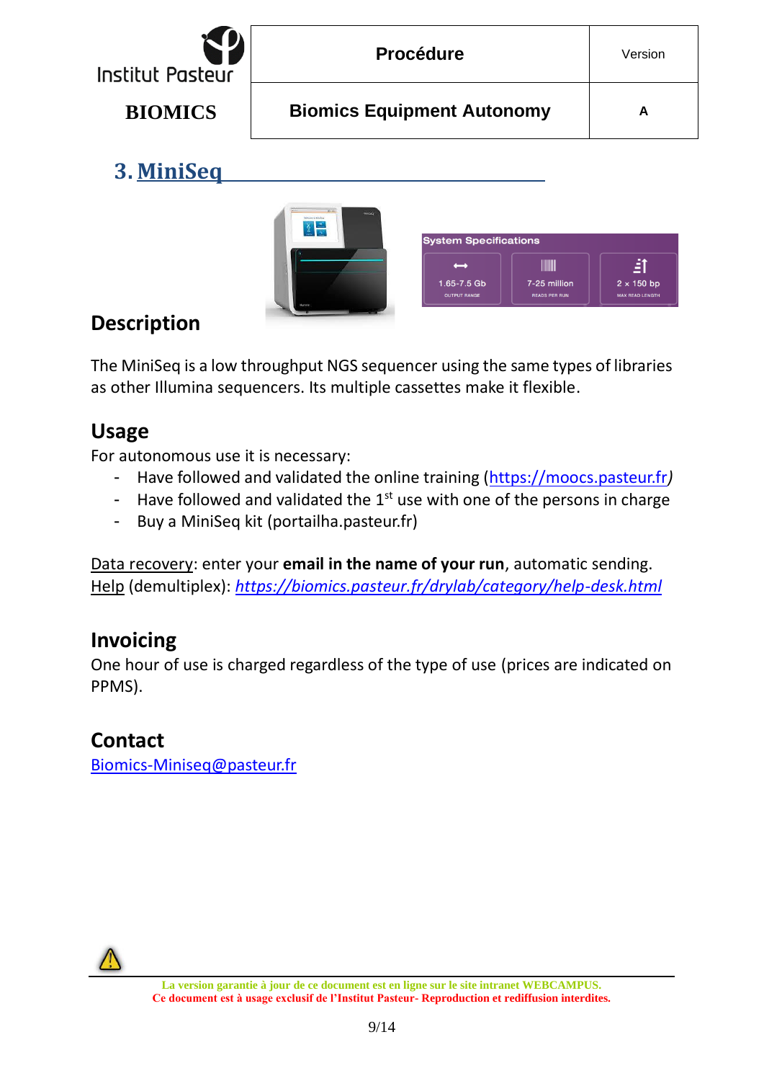

## <span id="page-8-0"></span>**3. MiniSeq**



## **Description**

The MiniSeq is a low throughput NGS sequencer using the same types of libraries as other Illumina sequencers. Its multiple cassettes make it flexible.

#### **Usage**

For autonomous use it is necessary:

- Have followed and validated the online training [\(https://moocs.pasteur.fr](https://moocs.pasteur.fr/)*)*
- Have followed and validated the  $1^{st}$  use with one of the persons in charge
- Buy a MiniSeq kit (portailha.pasteur.fr)

Data recovery: enter your **email in the name of your run**, automatic sending. Help (demultiplex): *<https://biomics.pasteur.fr/drylab/category/help-desk.html>*

#### **Invoicing**

One hour of use is charged regardless of the type of use (prices are indicated on PPMS).

#### **Contact**

[Biomics-Miniseq@pasteur.fr](/Users/vbriolat/Desktop/Support%202022/Attribution_Valerie-Briolat/Autonomy/biomics-miniseq@pasteur.fr)

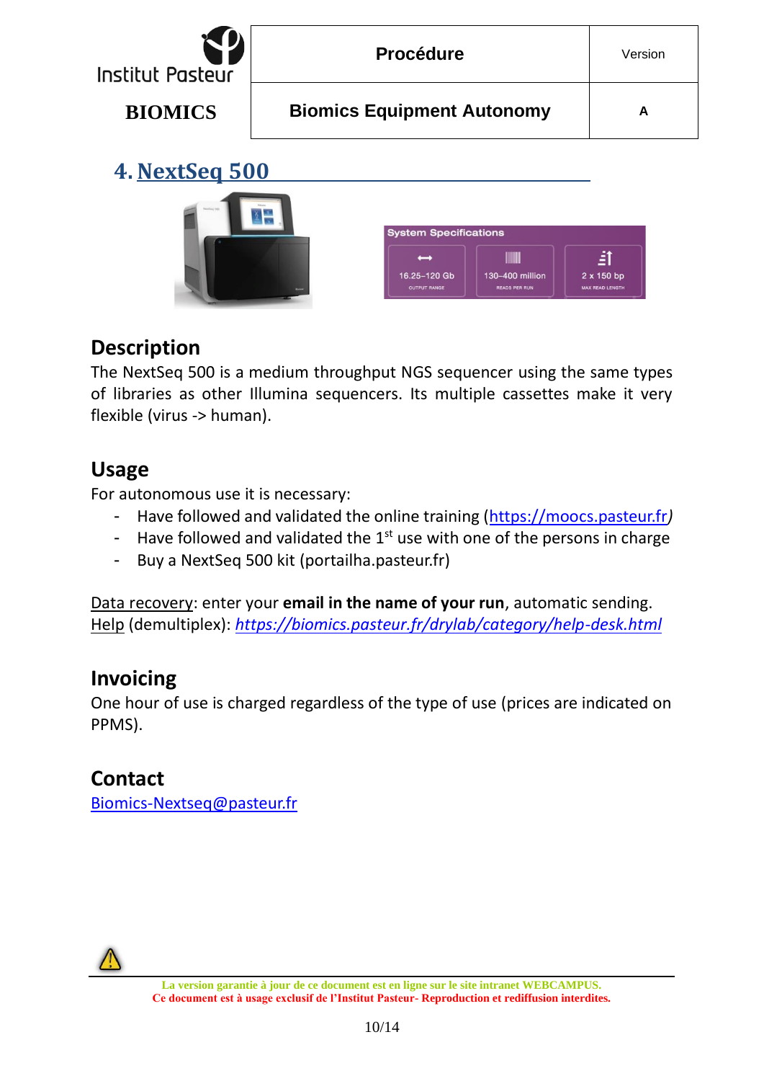<span id="page-9-0"></span>

**EADS PER RU** 

**READ LEN** 

#### **Description**

The NextSeq 500 is a medium throughput NGS sequencer using the same types of libraries as other Illumina sequencers. Its multiple cassettes make it very flexible (virus -> human).

#### **Usage**

For autonomous use it is necessary:

- Have followed and validated the online training [\(https://moocs.pasteur.fr](https://moocs.pasteur.fr/)*)*
- Have followed and validated the  $1<sup>st</sup>$  use with one of the persons in charge
- Buy a NextSeq 500 kit (portailha.pasteur.fr)

Data recovery: enter your **email in the name of your run**, automatic sending. Help (demultiplex): *<https://biomics.pasteur.fr/drylab/category/help-desk.html>*

#### **Invoicing**

One hour of use is charged regardless of the type of use (prices are indicated on PPMS).

## **Contact**

[Biomics-Nextseq@pasteur.fr](/Users/vbriolat/Desktop/Support%202022/Attribution_Valerie-Briolat/Autonomy/biomics-nextseq@pasteur.fr)

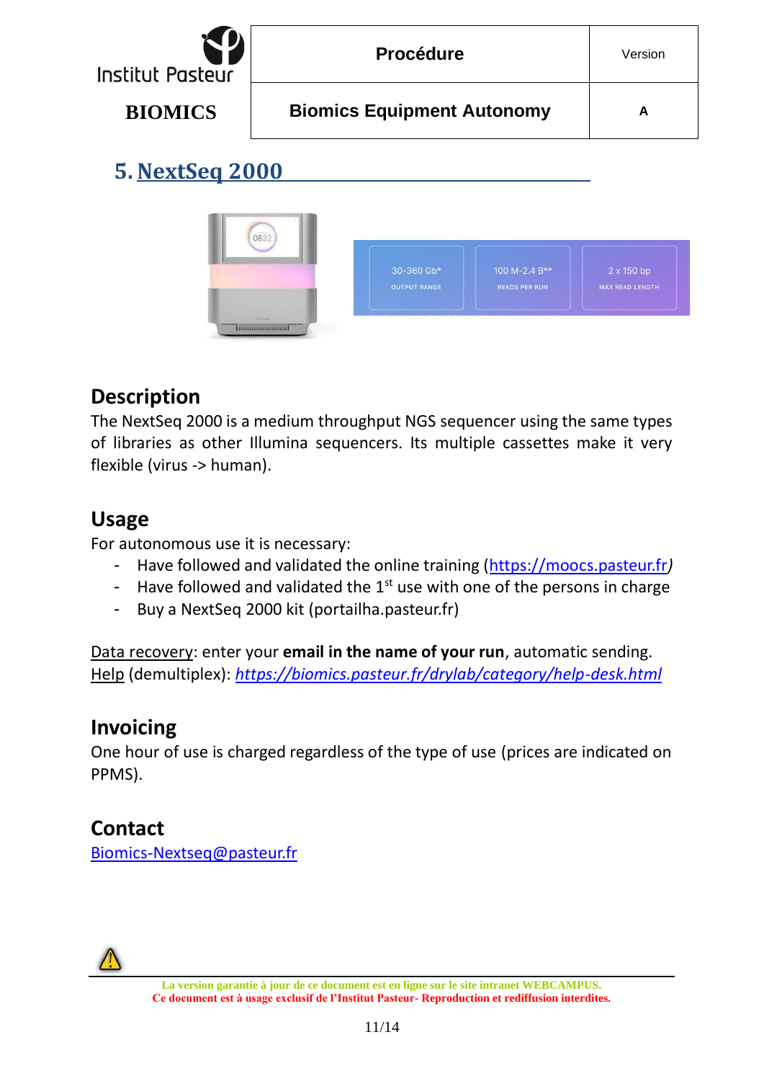

## <span id="page-10-0"></span>**5. NextSeq 2000**



#### **Description**

The NextSeq 2000 is a medium throughput NGS sequencer using the same types of libraries as other Illumina sequencers. Its multiple cassettes make it very flexible (virus -> human).

#### **Usage**

For autonomous use it is necessary:

- Have followed and validated the online training [\(https://moocs.pasteur.fr](https://moocs.pasteur.fr/)*)*
- Have followed and validated the  $1^{st}$  use with one of the persons in charge
- Buy a NextSeq 2000 kit (portailha.pasteur.fr)

Data recovery: enter your **email in the name of your run**, automatic sending. Help (demultiplex): *<https://biomics.pasteur.fr/drylab/category/help-desk.html>*

#### **Invoicing**

One hour of use is charged regardless of the type of use (prices are indicated on PPMS).

#### **Contact**

[Biomics-Nextseq@pasteur.fr](/Users/vbriolat/Desktop/Support%202022/Attribution_Valerie-Briolat/Autonomy/biomics-nextseq@pasteur.fr)

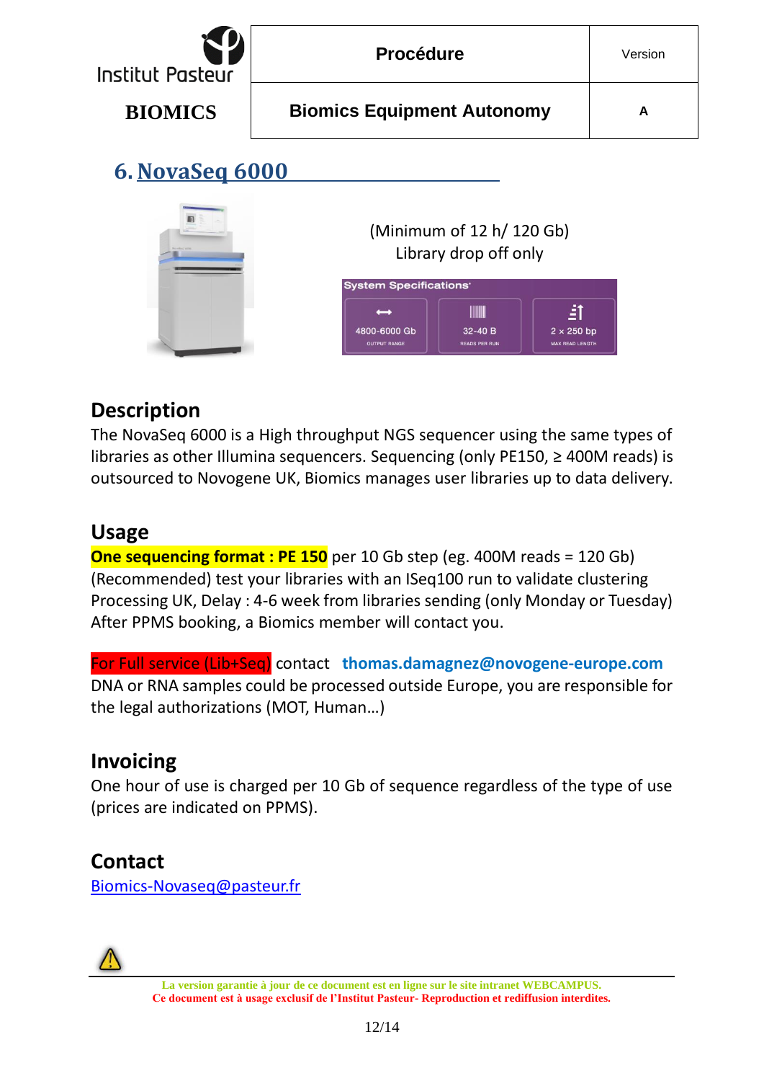<span id="page-11-0"></span>

| <b>Institut Pasteur</b> | <b>Procédure</b>                                                                    | Version |
|-------------------------|-------------------------------------------------------------------------------------|---------|
| <b>BIOMICS</b>          | <b>Biomics Equipment Autonomy</b>                                                   | A       |
| 6. NovaSeq 6000         |                                                                                     |         |
|                         | (Minimum of 12 h/ 120 Gb)<br>Library drop off only<br><b>System Specifications'</b> |         |

#### **Description**

The NovaSeq 6000 is a High throughput NGS sequencer using the same types of libraries as other Illumina sequencers. Sequencing (only PE150, ≥ 400M reads) is outsourced to Novogene UK, Biomics manages user libraries up to data delivery.

4800-6000 Gb

 $32-40B$ 

**READS PER RU** 

 $2 \times 250$  bp

MAX READ LENGTI

#### **Usage**

**One sequencing format : PE 150** per 10 Gb step (eg. 400M reads = 120 Gb) (Recommended) test your libraries with an ISeq100 run to validate clustering Processing UK, Delay : 4-6 week from libraries sending (only Monday or Tuesday) After PPMS booking, a Biomics member will contact you.

For Full service (Lib+Seq) contact **thomas.damagne[z@novogene-europe.com](mailto:haifa.sghairi@novogene-europe.com)** DNA or RNA samples could be processed outside Europe, you are responsible for the legal authorizations (MOT, Human…)

#### **Invoicing**

One hour of use is charged per 10 Gb of sequence regardless of the type of use (prices are indicated on PPMS).

#### **Contact**

[Biomics-Novaseq@pasteur.fr](/Users/vbriolat/Desktop/Support%202022/Attribution_Valerie-Briolat/Autonomy/biomics-novaseq@pasteur.fr)

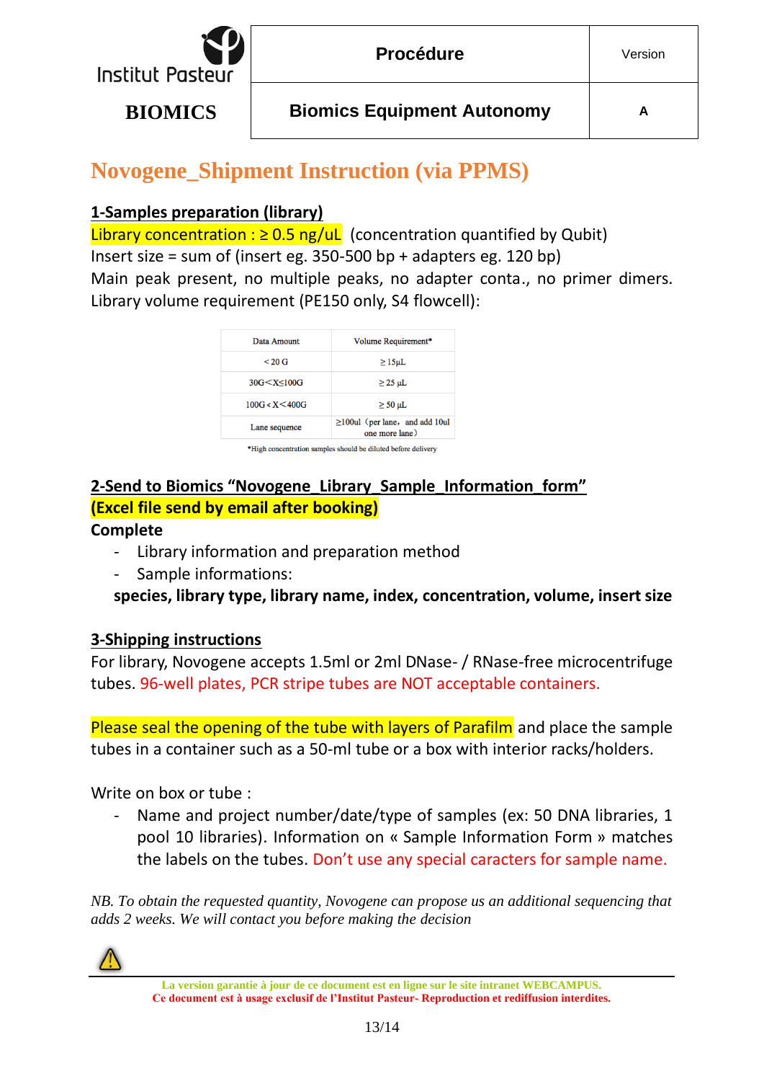

## **Novogene\_Shipment Instruction (via PPMS)**

#### **1-Samples preparation (library)**

Library concentration :  $\geq 0.5$  ng/uL (concentration quantified by Qubit) Insert size = sum of (insert eg.  $350-500$  bp + adapters eg.  $120$  bp) Main peak present, no multiple peaks, no adapter conta., no primer dimers. Library volume requirement (PE150 only, S4 flowcell):

| Data Amount                                                   | Volume Requirement*                                    |
|---------------------------------------------------------------|--------------------------------------------------------|
| $< 20 \text{ G}$                                              | $\geq$ 15µL                                            |
| 30G <x<100g< td=""><td><math>\geq</math> 25 µL</td></x<100g<> | $\geq$ 25 µL                                           |
| 100G < X < 400G                                               | $\geq$ 50 µL                                           |
| Lane sequence                                                 | $\geq$ 100ul (per lane, and add 10ul<br>one more lane) |

\*High concentration samples should be diluted before delivery

#### **2-Send to Biomics "Novogene\_Library\_Sample\_Information\_form" (Excel file send by email after booking)**

#### **Complete**

- Library information and preparation method
- Sample informations:

**species, library type, library name, index, concentration, volume, insert size**

#### **3-Shipping instructions**

For library, Novogene accepts 1.5ml or 2ml DNase- / RNase-free microcentrifuge tubes. 96-well plates, PCR stripe tubes are NOT acceptable containers.

Please seal the opening of the tube with layers of Parafilm and place the sample tubes in a container such as a 50-ml tube or a box with interior racks/holders.

Write on box or tube :

- Name and project number/date/type of samples (ex: 50 DNA libraries, 1 pool 10 libraries). Information on « Sample Information Form » matches the labels on the tubes. Don't use any special caracters for sample name.

*NB. To obtain the requested quantity, Novogene can propose us an additional sequencing that adds 2 weeks. We will contact you before making the decision*



**La version garantie à jour de ce document est en ligne sur le site intranet WEBCAMPUS. Ce document est à usage exclusif de l'Institut Pasteur- Reproduction et rediffusion interdites.**